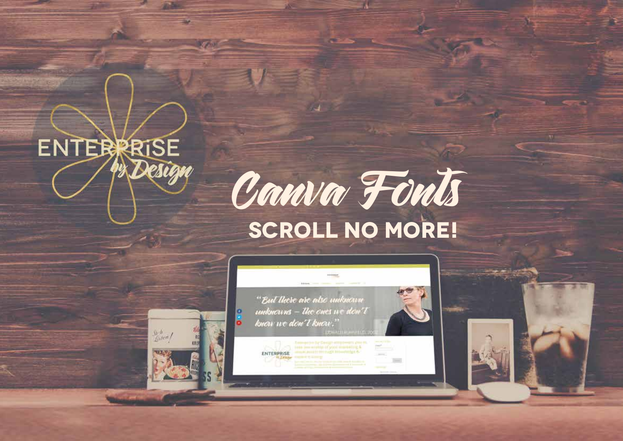

 $\frac{\xi_0-h}{\xi_0}$ 

**1**





ENTERPRISE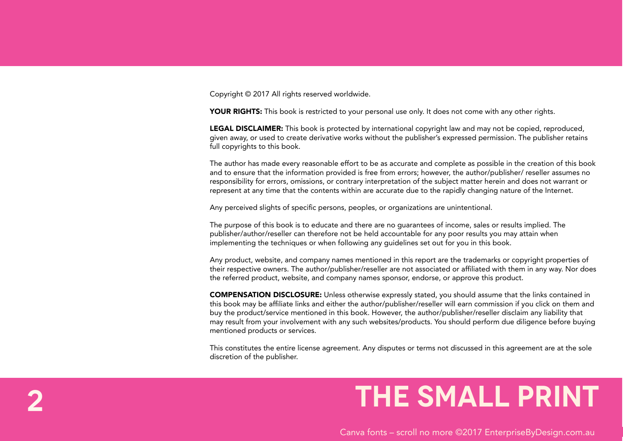Copyright © 2017 All rights reserved worldwide.

**2**

YOUR RIGHTS: This book is restricted to your personal use only. It does not come with any other rights.

LEGAL DISCLAIMER: This book is protected by international copyright law and may not be copied, reproduced, given away, or used to create derivative works without the publisher's expressed permission. The publisher retains full copyrights to this book.

The author has made every reasonable effort to be as accurate and complete as possible in the creation of this book and to ensure that the information provided is free from errors; however, the author/publisher/ reseller assumes no responsibility for errors, omissions, or contrary interpretation of the subject matter herein and does not warrant or represent at any time that the contents within are accurate due to the rapidly changing nature of the Internet.

Any perceived slights of specific persons, peoples, or organizations are unintentional.

The purpose of this book is to educate and there are no guarantees of income, sales or results implied. The publisher/author/reseller can therefore not be held accountable for any poor results you may attain when implementing the techniques or when following any guidelines set out for you in this book.

Any product, website, and company names mentioned in this report are the trademarks or copyright properties of their respective owners. The author/publisher/reseller are not associated or affiliated with them in any way. Nor does the referred product, website, and company names sponsor, endorse, or approve this product.

COMPENSATION DISCLOSURE: Unless otherwise expressly stated, you should assume that the links contained in this book may be affiliate links and either the author/publisher/reseller will earn commission if you click on them and buy the product/service mentioned in this book. However, the author/publisher/reseller disclaim any liability that may result from your involvement with any such websites/products. You should perform due diligence before buying mentioned products or services.

This constitutes the entire license agreement. Any disputes or terms not discussed in this agreement are at the sole discretion of the publisher.

## **the small print**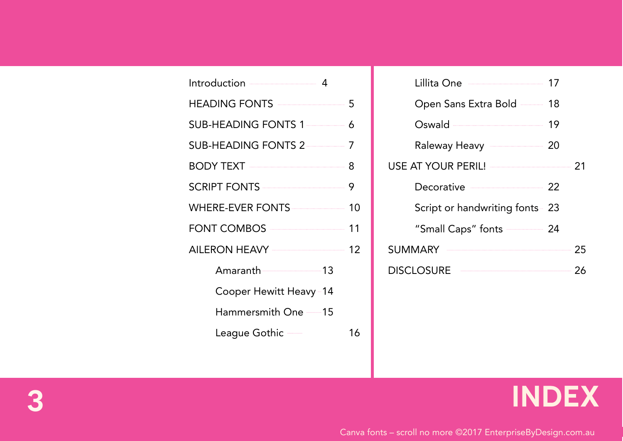| Introduction ———————— 4                 |    |
|-----------------------------------------|----|
|                                         |    |
|                                         |    |
|                                         |    |
|                                         |    |
|                                         |    |
|                                         |    |
| FONT COMBOS <u>________________</u> 11  |    |
| AILERON HEAVY <u>_______________</u> 12 |    |
| Amaranth 13                             |    |
| Cooper Hewitt Heavy-14                  |    |
| Hammersmith One --15                    |    |
| League Gothic —                         | 16 |
|                                         |    |

| Lillita One <u>_______________________</u>       | 17 |    |
|--------------------------------------------------|----|----|
| Open Sans Extra Bold -- 18                       |    |    |
| Oswald ——————————                                | 19 |    |
| Raleway Heavy <b>Contract Raleway</b> Province   |    |    |
| USE AT YOUR PERIL! <u>______________________</u> |    | 21 |
| Decorative 22                                    |    |    |
| Script or handwriting fonts - 23                 |    |    |
| "Small Caps" fonts $\frac{1}{2}$ 24              |    |    |
| SUMMARY                                          |    | 25 |
| <b>DISCLOSURE</b>                                |    | 26 |
|                                                  |    |    |

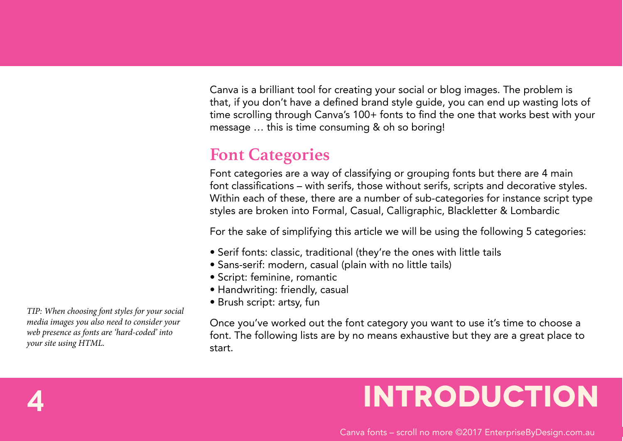Canva is a brilliant tool for creating your social or blog images. The problem is that, if you don't have a defined brand style guide, you can end up wasting lots of time scrolling through Canva's 100+ fonts to find the one that works best with your message … this is time consuming & oh so boring!

### **Font Categories**

Font categories are a way of classifying or grouping fonts but there are 4 main font classifications – with serifs, those without serifs, scripts and decorative styles. Within each of these, there are a number of sub-categories for instance script type styles are broken into Formal, Casual, Calligraphic, Blackletter & Lombardic

For the sake of simplifying this article we will be using the following 5 categories:

- Serif fonts: classic, traditional (they're the ones with little tails
- Sans-serif: modern, casual (plain with no little tails)
- Script: feminine, romantic
- Handwriting: friendly, casual
- Brush script: artsy, fun

Once you've worked out the font category you want to use it's time to choose a font. The following lists are by no means exhaustive but they are a great place to start.

## **4 Introduction**

*TIP: When choosing font styles for your social media images you also need to consider your web presence as fonts are 'hard-coded' into your site using HTML.*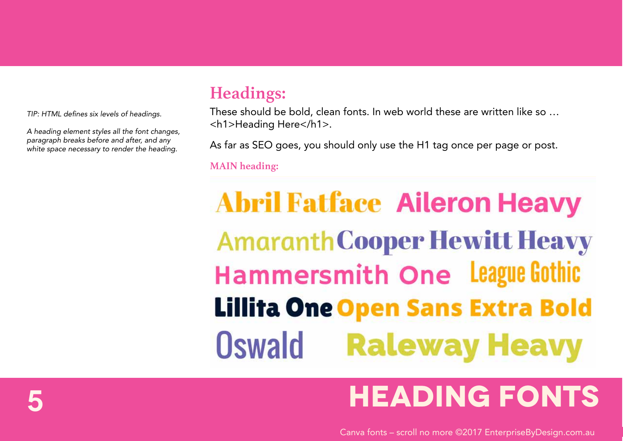TIP: HTML defines six levels of headings.

A heading element styles all the font changes, paragraph breaks before and after, and any white space necessary to render the heading.

### **Headings:**

These should be bold, clean fonts. In web world these are written like so … <h1>Heading Here</h1>.

As far as SEO goes, you should only use the H1 tag once per page or post.

**MAIN heading:**

# **Abril Fatface Aileron Heavy Amaranth Cooper Hewitt Heavy** Hammersmith One League Gothic **Lillita One Open Sans Extra Bold Oswald Raleway Heavy**

## **5 HEADING FONTS**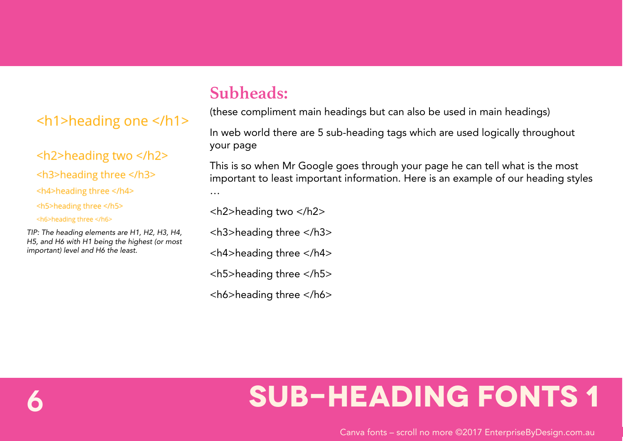#### <h1>heading one </h1>

#### <h2>heading two </h2>

<h3>heading three </h3>

<h4>heading three </h4>

<h5>heading three </h5>

<h6>heading three </h6>

TIP: The heading elements are H1, H2, H3, H4, H5, and H6 with H1 being the highest (or most important) level and H6 the least.

### **Subheads:**

(these compliment main headings but can also be used in main headings)

In web world there are 5 sub-heading tags which are used logically throughout your page

This is so when Mr Google goes through your page he can tell what is the most important to least important information. Here is an example of our heading styles …

<h2>heading two </h2>

<h3>heading three </h3>

<h4>heading three </h4>

<h5>heading three </h5>

<h6>heading three </h6>

## **6 SUB-HEADING FONTS 1**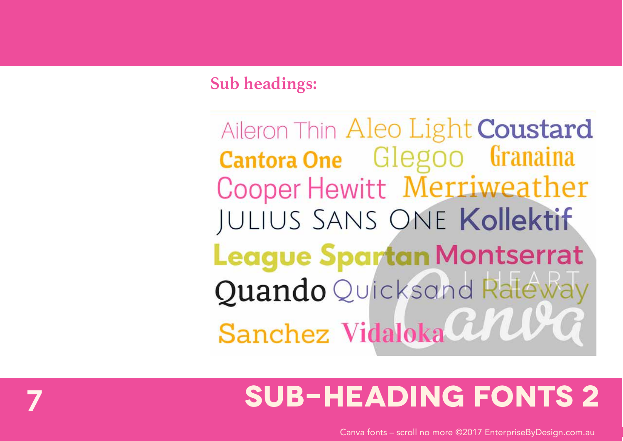### **Sub headings:**

Aileron Thin Aleo Light Coustard **Cantora One** Glegoo Granaina Cooper Hewitt Merriweather JULIUS SANS ONE Kollektif **League Spartan Montserrat** Quando Quicksand Raleway Sanchez Vidaloka CNU

## **SUB-HEADING FONTS 2**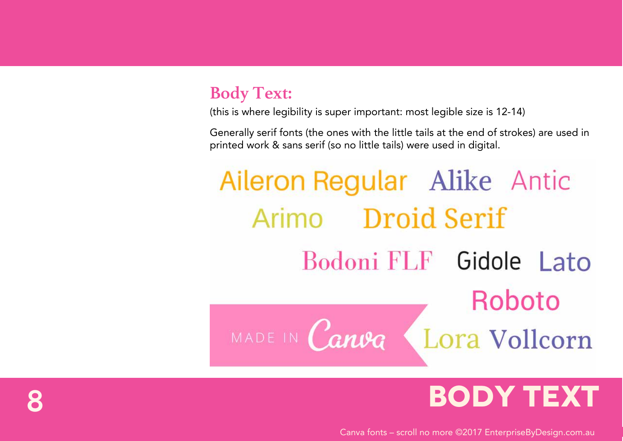### **Body Text:**

(this is where legibility is super important: most legible size is 12-14)

Generally serif fonts (the ones with the little tails at the end of strokes) are used in printed work & sans serif (so no little tails) were used in digital.

# Aileron Regular Alike Antic Arimo Droid Serif Bodoni FLF Gidole Lato Roboto MADE IN Canva Lora Vollcorn

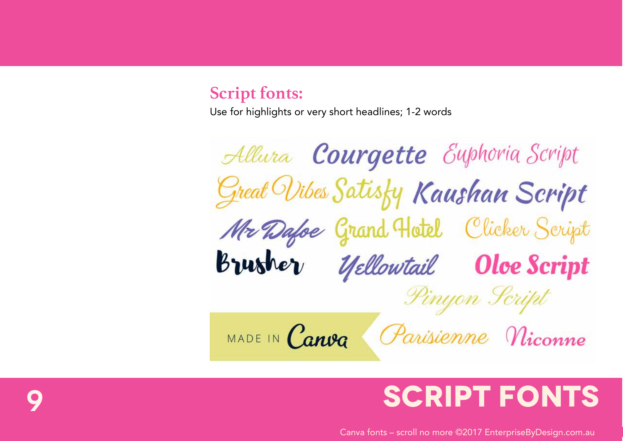#### **Script fonts:**

Use for highlights or very short headlines; 1-2 words

Allura Courgette Euphoria Script Great Wibes Satisty Kaushan Script Mr Dafoe Grand Hotel Clicker Script Brusher Yellowtail Oloe Script Pinyon Script Parisienne Niconne MADE IN Canva

## **9 SCRIPT FONTS**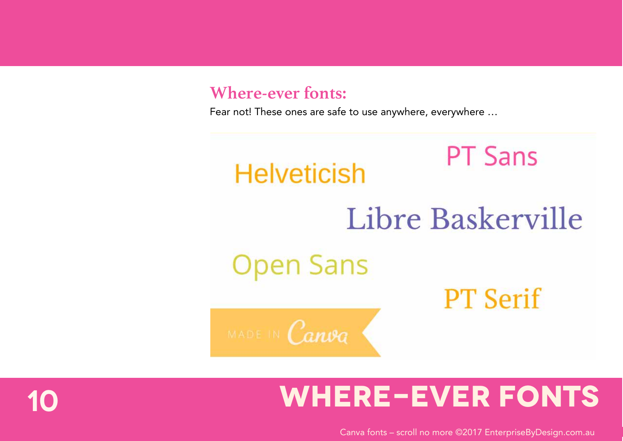#### **Where-ever fonts:**

Fear not! These ones are safe to use anywhere, everywhere …



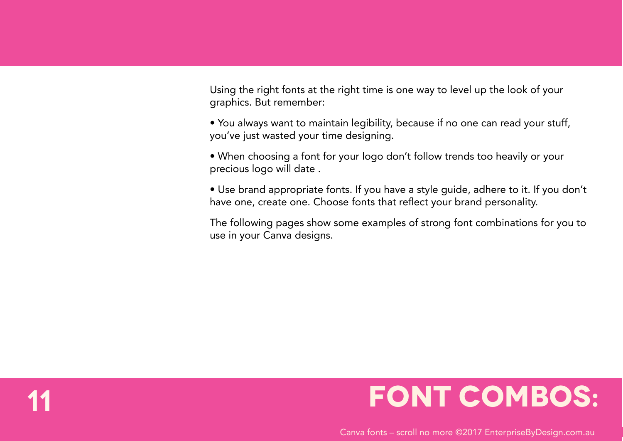Using the right fonts at the right time is one way to level up the look of your graphics. But remember:

• You always want to maintain legibility, because if no one can read your stuff, you've just wasted your time designing.

• When choosing a font for your logo don't follow trends too heavily or your precious logo will date .

• Use brand appropriate fonts. If you have a style guide, adhere to it. If you don't have one, create one. Choose fonts that reflect your brand personality.

The following pages show some examples of strong font combinations for you to use in your Canva designs.

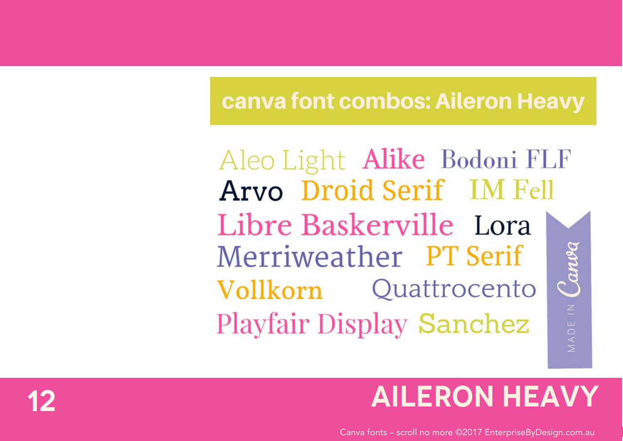### canva font combos: Aileron Heavy

Aleo Light Alike Bodoni FLF Arvo Droid Serif IM Fell Libre Baskerville Lora MADEIN Carve Merriweather PT Serif Vollkorn Quattrocento **Playfair Display Sanchez** 

## **AILERON HEAVY**

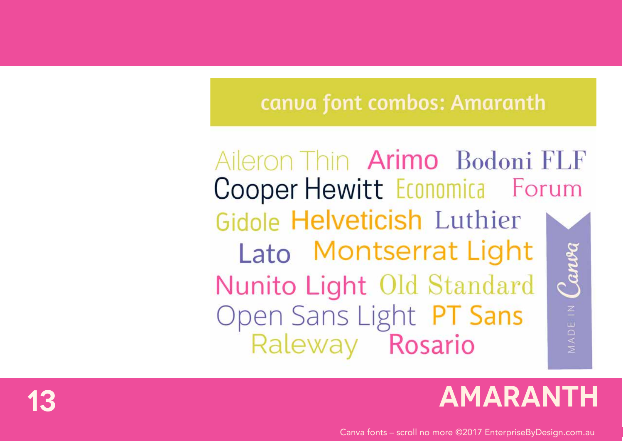### canva font combos: Amaranth

Aileron Thin Arimo Bodoni FLF Cooper Hewitt Economica Forum Gidole Helveticish Luthier Lato Montserrat Light MADEIN Canva Nunito Light Old Standard Open Sans Light PT Sans Raleway Rosario

## **AMARANTH**

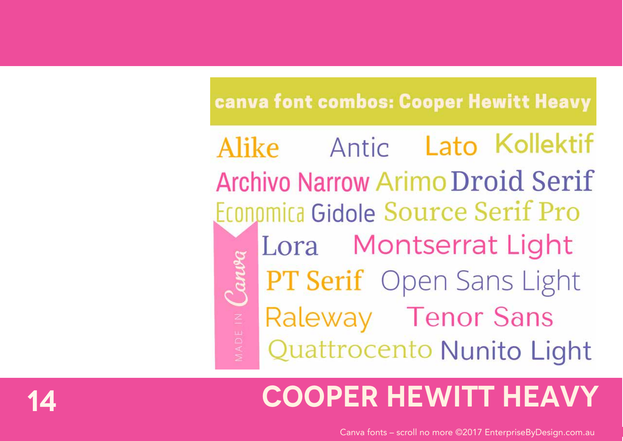### canva font combos: Cooper Hewitt Heavy

Alike Antic Lato Kollektif **Archivo Narrow Arimo Droid Serif** Economica Gidole Source Serif Pro Lora Montserrat Light Canv **PT Serif** Open Sans Light Raleway Tenor Sans Quattrocento Nunito Light

## **COOPER HEWITT HEAVY**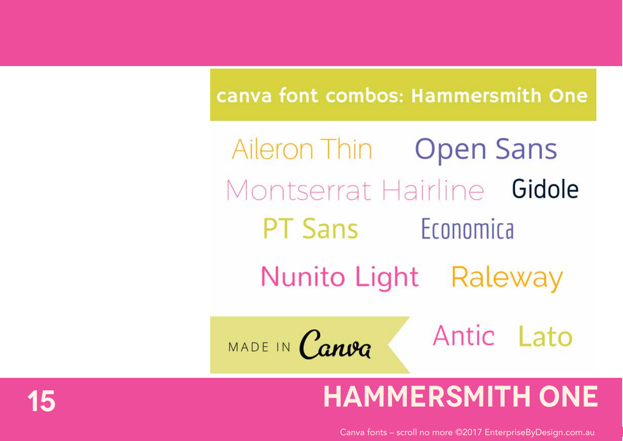### canva font combos: Hammersmith One

Aileron Thin Open Sans Montserrat Hairline Gidole **PT Sans** Economica Nunito Light Raleway Antic Lato MADE IN Canva

## **HAMMERSMITH ONE**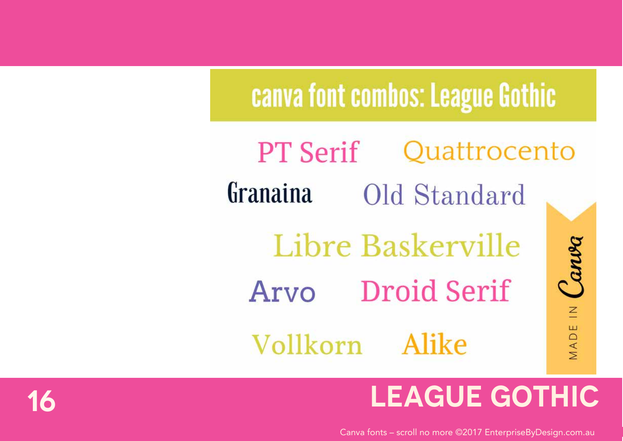# canva font combos: League Gothic

Ouattrocento **PT Serif** Granaina Old Standard Canva Libre Baskerville Arvo Droid Serif  $\leq$ MADE Vollkorn Alike

## **LEAGUE GOTHIC**

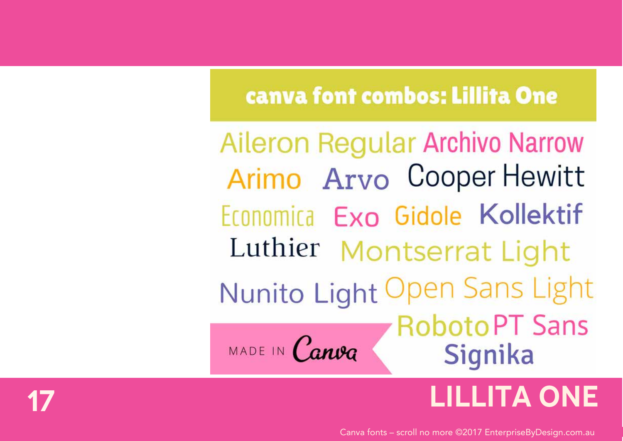### canva font combos: Lillita One

**Aileron Regular Archivo Narrow** Arimo Arvo Cooper Hewitt Economica Exo Gidole Kollektif Luthier Montserrat Light Nunito Light Open Sans Light **RobotoPT Sans** MADE IN Canva Signika

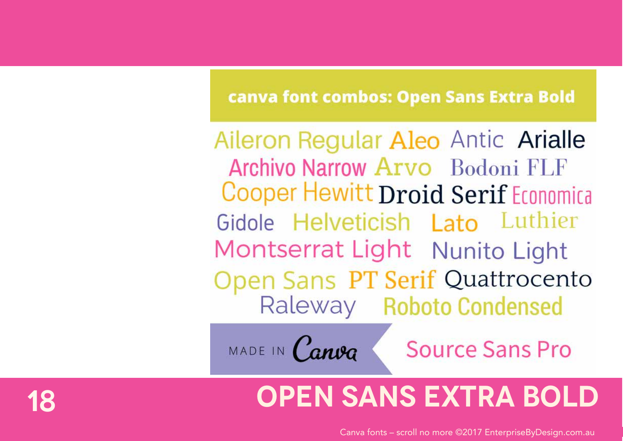### canva font combos: Open Sans Extra Bold

Aileron Regular Aleo Antic Arialle Archivo Narrow Arvo Bodoni FLF Cooper Hewitt Droid Serif Economica Gidole Helveticish Lato Luthier Montserrat Light Nunito Light Open Sans PT Serif Quattrocento Raleway Roboto Condensed

MADE IN Canva

**Source Sans Pro** 

## **18 Open Sans Extra Bold**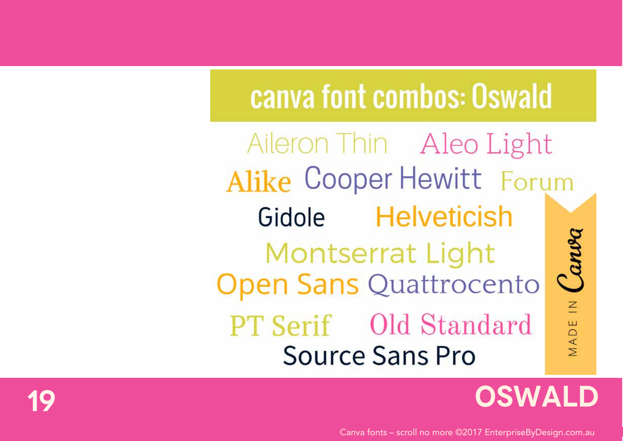# canva font combos: Oswald

Aileron Thin Aleo Light Alike Cooper Hewitt Forum Gidole Helveticish Canva Montserrat Light **Open Sans Quattrocento** MADE IN **PT Serif** Old Standard **Source Sans Pro** 

### **OSWALD**

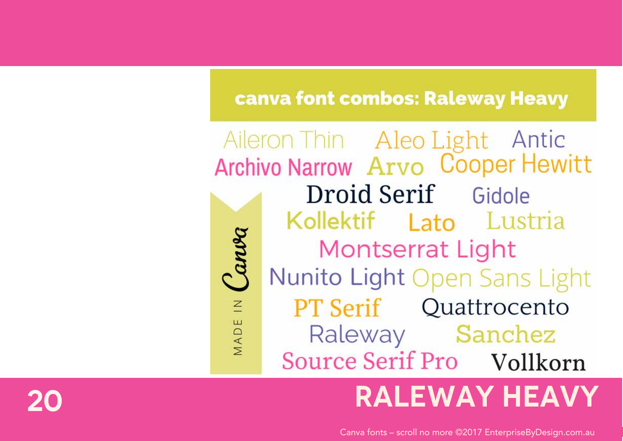### canva font combos: Raleway Heavy

Aileron Thin Aleo Light Antic Archivo Narrow Arvo Cooper Hewitt Droid Serif Gidole Kollektif Lato Lustria **Montserrat Light** Nunito Light Open Sans Light **PT Serif** Quattrocento  $\overline{z}$ MADE Raleway Sanchez Source Serif Pro Vollkorn

### **RALEWAY HEAVY**

Canva fonts - scroll no more @2017 EnterpriseByDesign.com.au

Canva

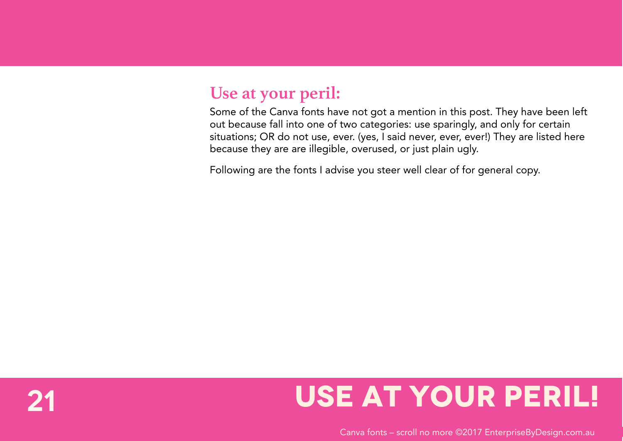#### **Use at your peril:**

Some of the Canva fonts have not got a mention in this post. They have been left out because fall into one of two categories: use sparingly, and only for certain situations; OR do not use, ever. (yes, I said never, ever, ever!) They are listed here because they are are illegible, overused, or just plain ugly.

Following are the fonts I advise you steer well clear of for general copy.

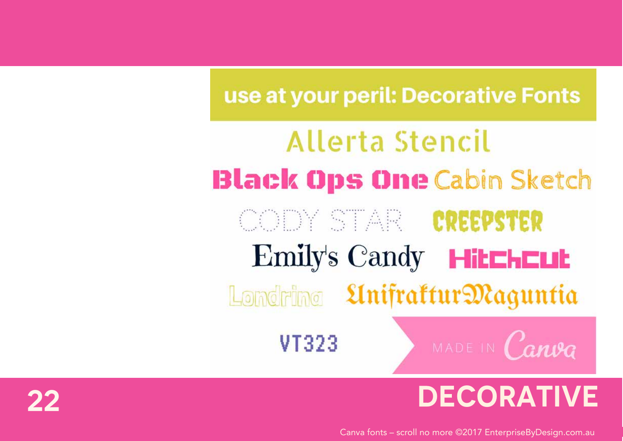### use at your peril: Decorative Fonts

# Allerta Stencil **Black Ops One Cabin Sketch CODY STAR CREEPSTER Emily's Candy Hitchcut** Londring *Linifrattur Maguntia* MADE IN Canva VT323

## **DECORATIVE**

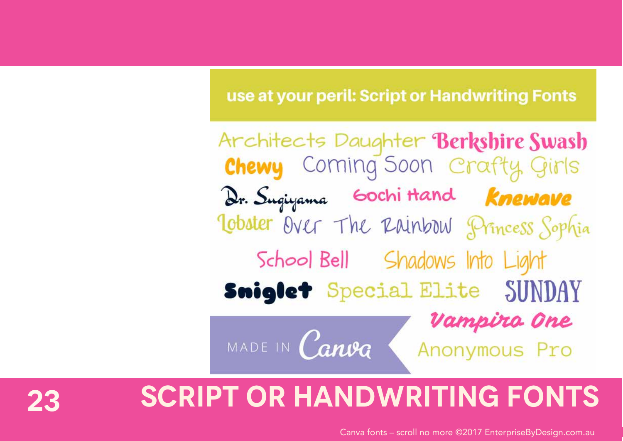### use at your peril: Script or Handwriting Fonts

Architects Daughter Berkshire Swash **Chewy** Coming Soon Crafty Girls Dr. Sugiyama Gochi Hand Knewave Tobster Over The Rainbow Princess Sophia School Bell Shadows Into Light Sniglet Special Elite SUNDAY Vampiro One MADE IN Canva Anonymous Pro

### **23 Script or handwriting fonts**

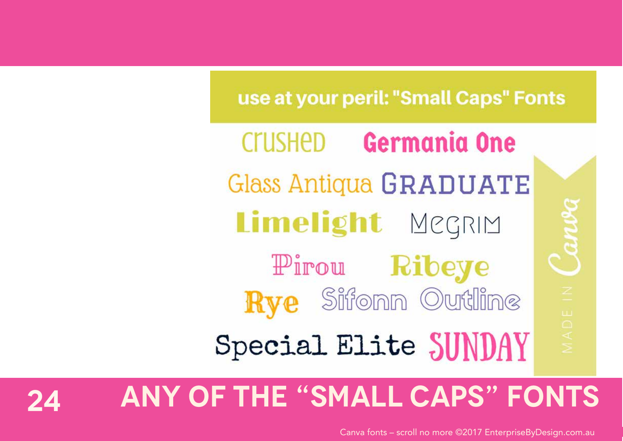### use at your peril: "Small Caps" Fonts

**Germania One** Crushed Glass Antiqua GRADUATE Limelight MegRIM Pirou Ribeye **Rye** Sifonn Outline

Special Elite SUNDAY

**24 Any of the "Small Caps" fonts**

Canva fonts – scroll no more ©2017 EnterpriseByDesign.com.au

Canva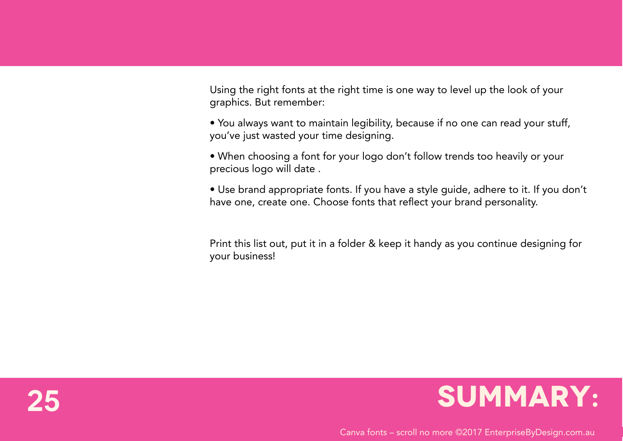Using the right fonts at the right time is one way to level up the look of your graphics. But remember:

• You always want to maintain legibility, because if no one can read your stuff, you've just wasted your time designing.

• When choosing a font for your logo don't follow trends too heavily or your precious logo will date .

• Use brand appropriate fonts. If you have a style guide, adhere to it. If you don't have one, create one. Choose fonts that reflect your brand personality.

Print this list out, put it in a folder & keep it handy as you continue designing for your business!